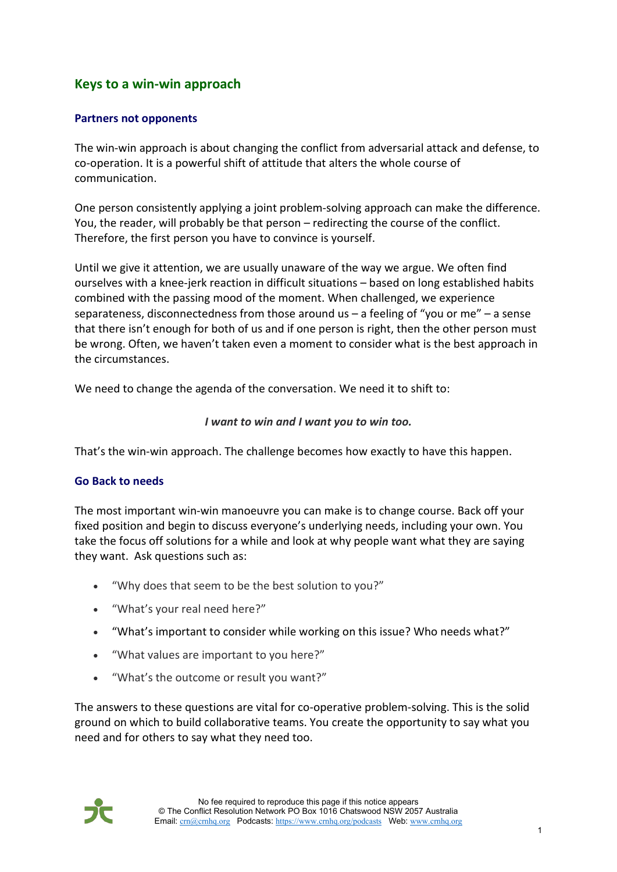# Keys to a win-win approach **Keys to a win-win approach**

## Partners not opponents **Partners not opponents**

The win-win approach is about changing the conflict from adversarial attack and defense, to The win-win approach is about changing the conflict from adversarial attack and defense, to co-operation. It is a powerful shift of attitude that alters the whole course of co-operation. It is a powerful shift of attitude that alters the whole course of communication. communication.

One person consistently applying a joint problem-solving approach can make the difference. One person consistently applying a joint problem-solving approach can make the difference. You, the reader, will probably be that person — redirecting the course of the conflict. You, the reader, will probably be that person – redirecting the course of the conflict. Therefore, the first person you have to convince is yourself. Therefore, the first person you have to convince is yourself.

Until we give it attention, we are usually unaware of the way we argue. We often find Until we give it attention, we are usually unaware of the way we argue. We often find ourselves with a knee-jerk reaction in difficult situations — based on long established habits ourselves with a knee-jerk reaction in difficult situations – based on long established habits combined with the passing mood of the moment. When challenged, we experience combined with the passing mood of the moment. When challenged, we experience separateness, disconnectedness from those around us — a feeling of "you or me" — a sense separateness, disconnectedness from those around us – a feeling of "you or me" – a sense that there isn't enough for both of us and if one person is right, then the other person must<br>be wrong. Often, we haven't taken even a moment to consider what is the best approach in<br>the circumstances. be wrong. Often, we haven't taken even a moment to consider what is the best approach in the circumstances.

We need to change the agenda of the conversation. We need it to shift to: We need to change the agenda of the conversation. We need it to shift to:

### I want to win and I want you to win too. *I want to win and I want you to win too.*

That's the win-win approach. The challenge becomes how exactly to have this happen. That's the win-win approach. The challenge becomes how exactly to have this happen.

#### Go Back to needs **Go Back to needs**

The most important win-win manoeuvre you can make is to change course. Back off your fixed position and begin to discuss everyone's underlying needs, including your own. You The most important win-win manoeuvre you can make is to change course. Back off your<br>fixed position and begin to discuss everyone's underlying needs, including your own. You<br>take the focus off solutions for a while and loo they want. Ask questions such as: they want. Ask questions such as:

- "Why does that seem to be the best solution to you?" "Why does that seem to be the best solution to you?"
- "What's your real need here?" "What's your real need here?"
- "What's important to consider while working on this issue? Who needs what?" "What's important to consider while working on this issue? Who needs what?"
- "What values are important to you here?" "What values are important to you here?"
- "What's the outcome or result you want?" "What's the outcome or result you want?"

The answers to these questions are vital for co-operative problem-solving. This is the solid ground on which to build collaborative teams. You create the opportunity to say what you need and for others to say what they nee ground on which to build collaborative teams. You create the opportunity to say what you need and for others to say what they need too.